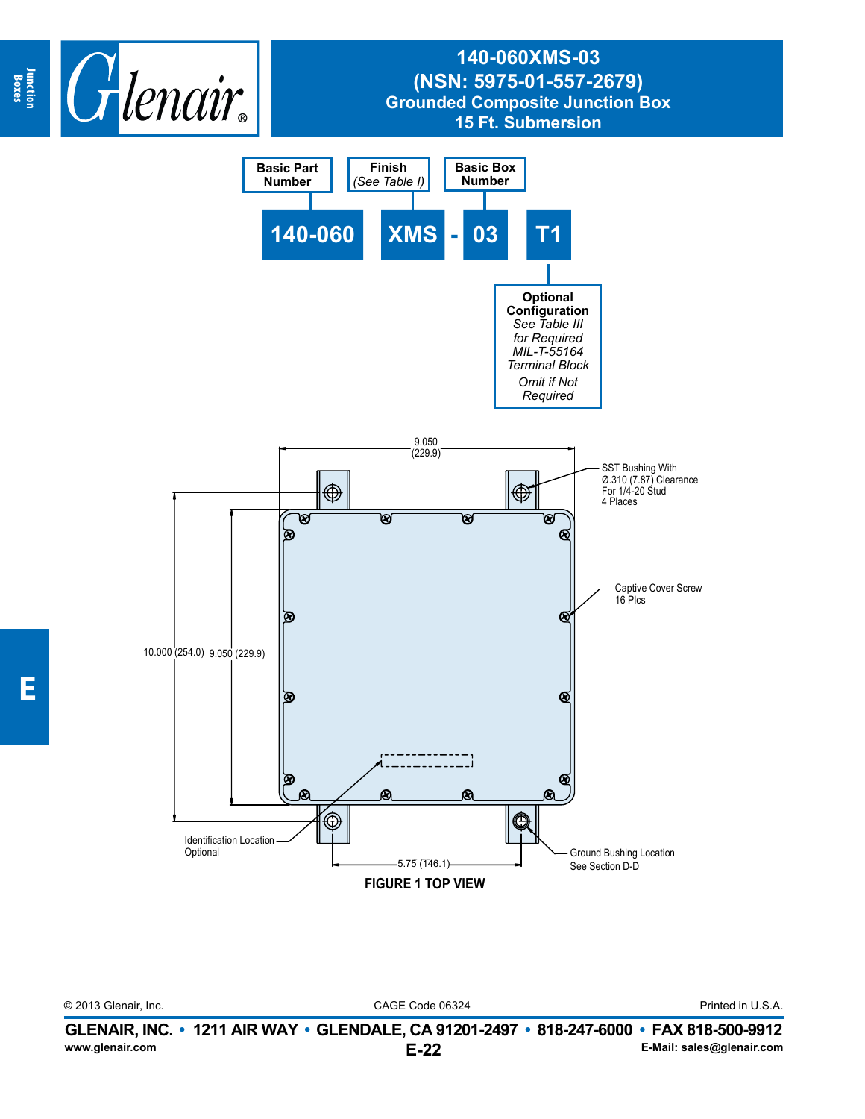

**Junction Boxes**

CAGE Code 06324 © 2013 Glenair, Inc. Printed in U.S.A.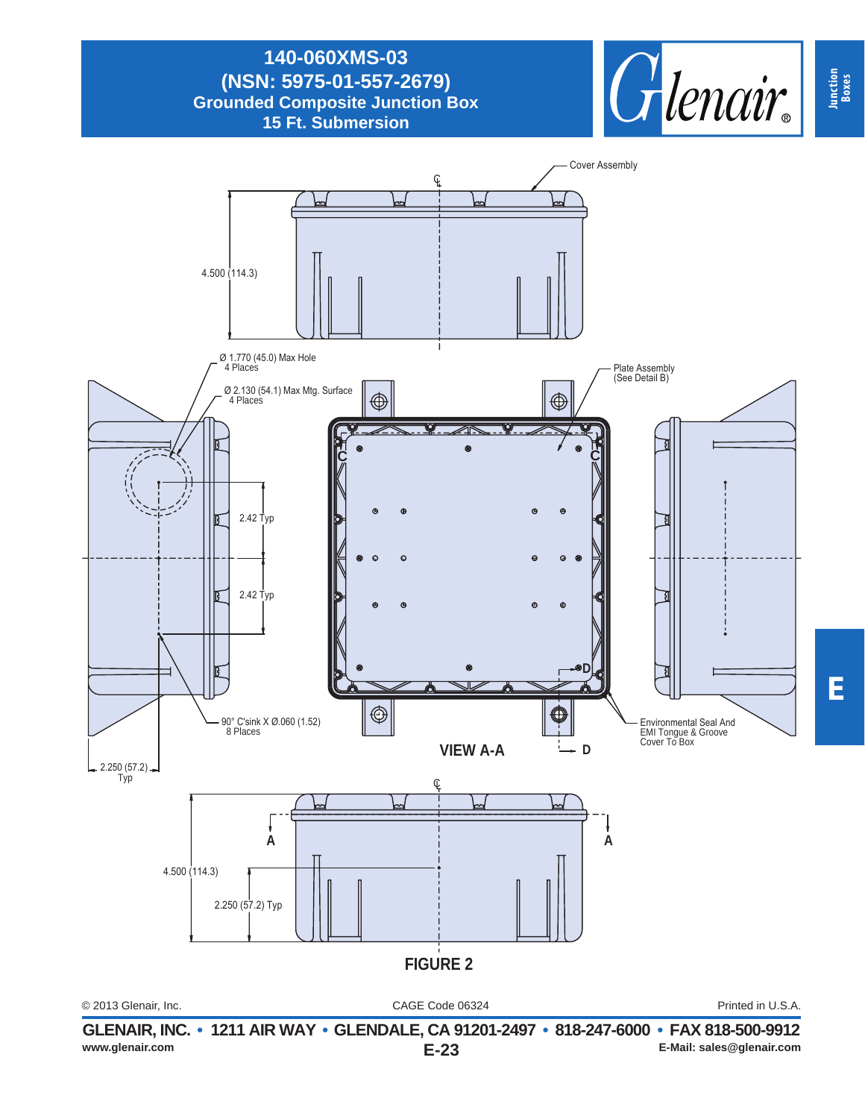

**Junction Boxes**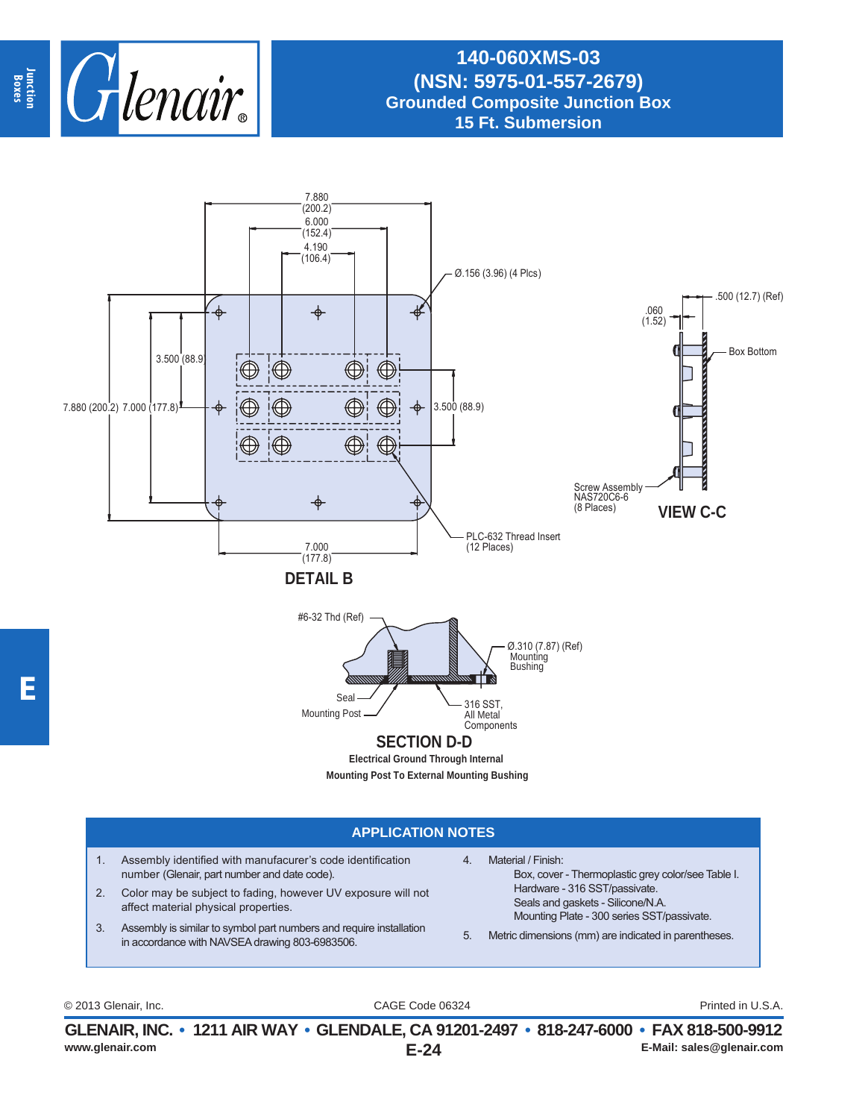

## **140-060XMS-03 (NSN: 5975-01-557-2679) Grounded Composite Junction Box 15 Ft. Submersion**



## **APPLICATION NOTES**

- 1. Assembly identified with manufacurer's code identification number (Glenair, part number and date code).
- 2. Color may be subject to fading, however UV exposure will not affect material physical properties.
- 3. Assembly is similar to symbol part numbers and require installation in accordance with NAVSEA drawing 803-6983506.
- 4. Material / Finish: Box, cover - Thermoplastic grey color/see Table I. Hardware - 316 SST/passivate. Seals and gaskets - Silicone/N.A. Mounting Plate - 300 series SST/passivate.
- 5. Metric dimensions (mm) are indicated in parentheses.

CAGE Code 06324 © 2013 Glenair, Inc. Printed in U.S.A.

**E-24 GLENAIR, INC. • 1211 AIR WAY • GLENDALE, CA 91201-2497 • 818-247-6000 • FAX 818-500-9912 E-Mail: sales@glenair.com E-Mail: sales@glenair.com E-Mail: sales@glenair.com**